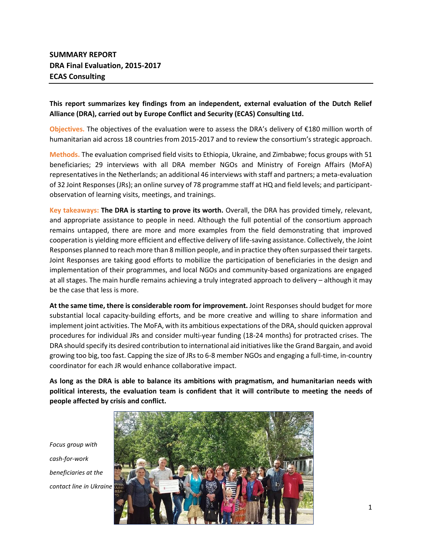# **This report summarizes key findings from an independent, external evaluation of the Dutch Relief Alliance (DRA), carried out by Europe Conflict and Security (ECAS) Consulting Ltd.**

**Objectives.** The objectives of the evaluation were to assess the DRA's delivery of €180 million worth of humanitarian aid across 18 countries from 2015-2017 and to review the consortium's strategic approach.

**Methods.** The evaluation comprised field visits to Ethiopia, Ukraine, and Zimbabwe; focus groups with 51 beneficiaries; 29 interviews with all DRA member NGOs and Ministry of Foreign Affairs (MoFA) representatives in the Netherlands; an additional 46 interviews with staff and partners; a meta-evaluation of 32 Joint Responses (JRs); an online survey of 78 programme staff at HQ and field levels; and participantobservation of learning visits, meetings, and trainings.

**Key takeaways: The DRA is starting to prove its worth.** Overall, the DRA has provided timely, relevant, and appropriate assistance to people in need. Although the full potential of the consortium approach remains untapped, there are more and more examples from the field demonstrating that improved cooperation is yielding more efficient and effective delivery of life-saving assistance. Collectively, the Joint Responses planned to reach more than 8 million people, and in practice they often surpassed their targets. Joint Responses are taking good efforts to mobilize the participation of beneficiaries in the design and implementation of their programmes, and local NGOs and community-based organizations are engaged at all stages. The main hurdle remains achieving a truly integrated approach to delivery – although it may be the case that less is more.

**At the same time, there is considerable room for improvement.** Joint Responses should budget for more substantial local capacity-building efforts, and be more creative and willing to share information and implement joint activities. The MoFA, with its ambitious expectations of the DRA, should quicken approval procedures for individual JRs and consider multi-year funding (18-24 months) for protracted crises. The DRA should specify its desired contribution to international aid initiatives like the Grand Bargain, and avoid growing too big, too fast. Capping the size of JRs to 6-8 member NGOs and engaging a full-time, in-country coordinator for each JR would enhance collaborative impact.

**As long as the DRA is able to balance its ambitions with pragmatism, and humanitarian needs with political interests, the evaluation team is confident that it will contribute to meeting the needs of people affected by crisis and conflict.**

*Focus group with cash-for-work beneficiaries at the contact line in Ukraine*

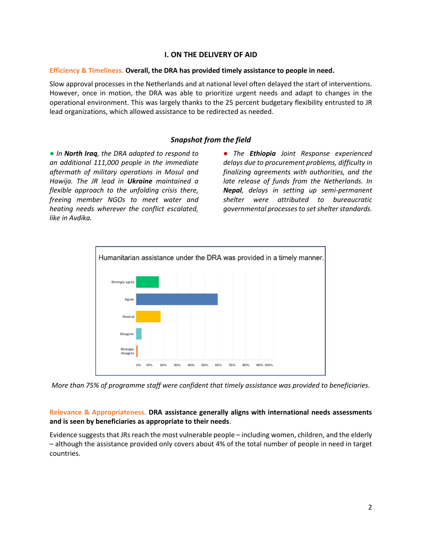### **I. ON THE DELIVERY OF AID**

#### **Efficiency & Timeliness. Overall, the DRA has provided timely assistance to people in need.**

Slow approval processes in the Netherlands and at national level often delayed the start of interventions. However, once in motion, the DRA was able to prioritize urgent needs and adapt to changes in the operational environment. This was largely thanks to the 25 percent budgetary flexibility entrusted to JR lead organizations, which allowed assistance to be redirected as needed.

# *Snapshot from the field*

● *In North Iraq, the DRA adapted to respond to an additional 111,000 people in the immediate aftermath of military operations in Mosul and Hawija. The JR lead in Ukraine maintained a flexible approach to the unfolding crisis there, freeing member NGOs to meet water and heating needs wherever the conflict escalated, like in Avdika.*

● *The Ethiopia Joint Response experienced delays due to procurement problems, difficulty in finalizing agreements with authorities, and the late release of funds from the Netherlands. In Nepal, delays in setting up semi-permanent shelter were attributed to bureaucratic governmental processes to set shelter standards.*



*More than 75% of programme staff were confident that timely assistance was provided to beneficiaries.*

# **Relevance & Appropriateness. DRA assistance generally aligns with international needs assessments and is seen by beneficiaries as appropriate to their needs**.

Evidence suggests that JRs reach the most vulnerable people – including women, children, and the elderly – although the assistance provided only covers about 4% of the total number of people in need in target countries.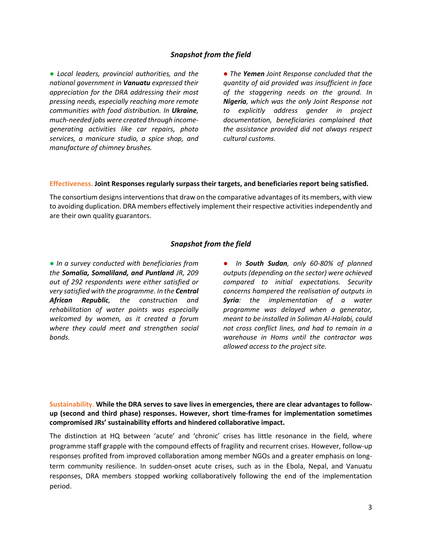#### *Snapshot from the field*

● *Local leaders, provincial authorities, and the national government in Vanuatu expressed their appreciation for the DRA addressing their most pressing needs, especially reaching more remote communities with food distribution. In Ukraine, much-needed jobs were created through incomegenerating activities like car repairs, photo services, a manicure studio, a spice shop, and manufacture of chimney brushes.*

● *The Yemen Joint Response concluded that the quantity of aid provided was insufficient in face of the staggering needs on the ground. In Nigeria, which was the only Joint Response not to explicitly address gender in project documentation, beneficiaries complained that the assistance provided did not always respect cultural customs.* 

#### **Effectiveness. Joint Responses regularly surpass their targets, and beneficiaries report being satisfied.**

The consortium designs interventions that draw on the comparative advantages of its members, with view to avoiding duplication. DRA members effectively implement their respective activities independently and are their own quality guarantors.

#### *Snapshot from the field*

● *In a survey conducted with beneficiaries from the Somalia, Somaliland, and Puntland JR, 209 out of 292 respondents were either satisfied or very satisfied with the programme. In the Central African Republic, the construction and rehabilitation of water points was especially welcomed by women, as it created a forum where they could meet and strengthen social bonds.* 

● *In South Sudan, only 60-80% of planned outputs (depending on the sector) were achieved compared to initial expectations. Security concerns hampered the realisation of outputs in Syria: the implementation of a water programme was delayed when a generator, meant to be installed in Soliman Al-Halabi, could not cross conflict lines, and had to remain in a warehouse in Homs until the contractor was allowed access to the project site.*

**Sustainability. While the DRA serves to save lives in emergencies, there are clear advantages to followup (second and third phase) responses. However, short time-frames for implementation sometimes compromised JRs' sustainability efforts and hindered collaborative impact.**

The distinction at HQ between 'acute' and 'chronic' crises has little resonance in the field, where programme staff grapple with the compound effects of fragility and recurrent crises. However, follow-up responses profited from improved collaboration among member NGOs and a greater emphasis on longterm community resilience. In sudden-onset acute crises, such as in the Ebola, Nepal, and Vanuatu responses, DRA members stopped working collaboratively following the end of the implementation period.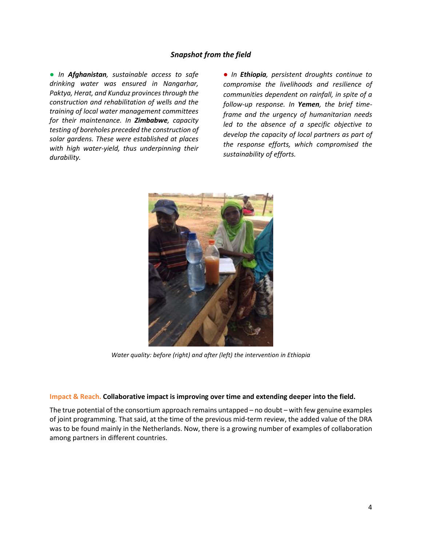### *Snapshot from the field*

● *In Afghanistan, sustainable access to safe drinking water was ensured in Nangarhar, Paktya, Herat, and Kunduz provinces through the construction and rehabilitation of wells and the training of local water management committees for their maintenance. In Zimbabwe, capacity testing of boreholes preceded the construction of solar gardens. These were established at places with high water-yield, thus underpinning their durability.*

● *In Ethiopia, persistent droughts continue to compromise the livelihoods and resilience of communities dependent on rainfall, in spite of a follow-up response. In Yemen, the brief timeframe and the urgency of humanitarian needs led to the absence of a specific objective to develop the capacity of local partners as part of the response efforts, which compromised the sustainability of efforts.*



*Water quality: before (right) and after (left) the intervention in Ethiopia*

#### **Impact & Reach. Collaborative impact is improving over time and extending deeper into the field.**

The true potential of the consortium approach remains untapped – no doubt – with few genuine examples of joint programming. That said, at the time of the previous mid-term review, the added value of the DRA was to be found mainly in the Netherlands. Now, there is a growing number of examples of collaboration among partners in different countries.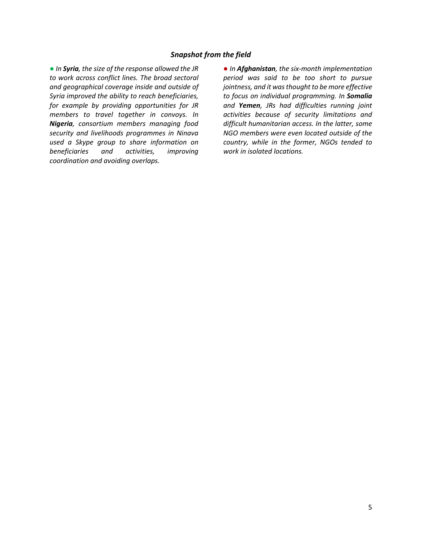#### *Snapshot from the field*

● *In Syria, the size of the response allowed the JR to work across conflict lines. The broad sectoral and geographical coverage inside and outside of Syria improved the ability to reach beneficiaries, for example by providing opportunities for JR members to travel together in convoys. In Nigeria, consortium members managing food security and livelihoods programmes in Ninava used a Skype group to share information on beneficiaries and activities, improving coordination and avoiding overlaps.*

● *In Afghanistan, the six-month implementation period was said to be too short to pursue jointness, and it was thought to be more effective to focus on individual programming. In Somalia and Yemen, JRs had difficulties running joint activities because of security limitations and difficult humanitarian access. In the latter, some NGO members were even located outside of the country, while in the former, NGOs tended to work in isolated locations.*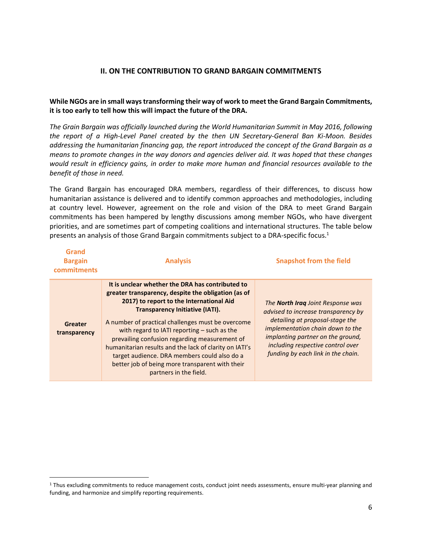# **II. ON THE CONTRIBUTION TO GRAND BARGAIN COMMITMENTS**

### **While NGOs are in small ways transforming their way of work to meet the Grand Bargain Commitments, it is too early to tell how this will impact the future of the DRA.**

*The Grain Bargain was officially launched during the World Humanitarian Summit in May 2016, following the report of a High-Level Panel created by the then UN Secretary-General Ban Ki-Moon. Besides addressing the humanitarian financing gap, the report introduced the concept of the Grand Bargain as a means to promote changes in the way donors and agencies deliver aid. It was hoped that these changes would result in efficiency gains, in order to make more human and financial resources available to the benefit of those in need.*

The Grand Bargain has encouraged DRA members, regardless of their differences, to discuss how humanitarian assistance is delivered and to identify common approaches and methodologies, including at country level. However, agreement on the role and vision of the DRA to meet Grand Bargain commitments has been hampered by lengthy discussions among member NGOs, who have divergent priorities, and are sometimes part of competing coalitions and international structures. The table below presents an analysis of those Grand Bargain commitments subject to a DRA-specific focus. 1

| Grand<br><b>Bargain</b><br>commitments | <b>Analysis</b>                                                                                                                                                                                                                                                                                                                                                                                                                                                                                                                             | <b>Snapshot from the field</b>                                                                                                                                                                                                                                         |
|----------------------------------------|---------------------------------------------------------------------------------------------------------------------------------------------------------------------------------------------------------------------------------------------------------------------------------------------------------------------------------------------------------------------------------------------------------------------------------------------------------------------------------------------------------------------------------------------|------------------------------------------------------------------------------------------------------------------------------------------------------------------------------------------------------------------------------------------------------------------------|
| Greater<br>transparency                | It is unclear whether the DRA has contributed to<br>greater transparency, despite the obligation (as of<br>2017) to report to the International Aid<br><b>Transparency Initiative (IATI).</b><br>A number of practical challenges must be overcome<br>with regard to IATI reporting $-$ such as the<br>prevailing confusion regarding measurement of<br>humanitarian results and the lack of clarity on IATI's<br>target audience. DRA members could also do a<br>better job of being more transparent with their<br>partners in the field. | The <b>North Irag</b> Joint Response was<br>advised to increase transparency by<br>detailing at proposal-stage the<br>implementation chain down to the<br>implanting partner on the ground,<br>including respective control over<br>funding by each link in the chain. |

 $\overline{\phantom{a}}$ 

<sup>1</sup> Thus excluding commitments to reduce management costs, conduct joint needs assessments, ensure multi-year planning and funding, and harmonize and simplify reporting requirements.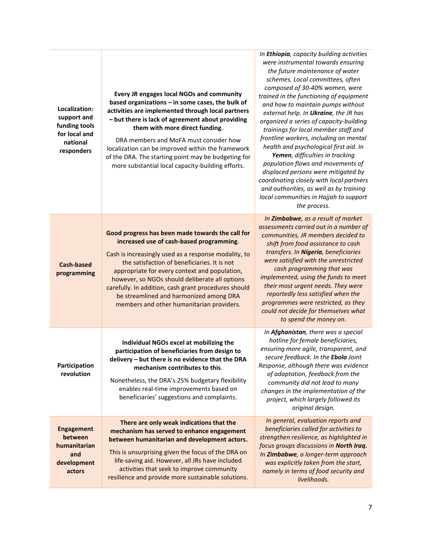| Localization:<br>support and<br>funding tools<br>for local and<br>national<br>responders | Every JR engages local NGOs and community<br>based organizations - in some cases, the bulk of<br>activities are implemented through local partners<br>- but there is lack of agreement about providing<br>them with more direct funding.<br>DRA members and MoFA must consider how<br>localization can be improved within the framework<br>of the DRA. The starting point may be budgeting for<br>more substantial local capacity-building efforts.     | In Ethiopia, capacity building activities<br>were instrumental towards ensuring<br>the future maintenance of water<br>schemes. Local committees, often<br>composed of 30-40% women, were<br>trained in the functioning of equipment<br>and how to maintain pumps without<br>external help. In Ukraine, the JR has<br>organized a series of capacity-building<br>trainings for local member staff and<br>frontline workers, including on mental<br>health and psychological first aid. In<br>Yemen, difficulties in tracking<br>population flows and movements of<br>displaced persons were mitigated by<br>coordinating closely with local partners<br>and authorities, as well as by training<br>local communities in Hajjah to support<br>the process. |
|------------------------------------------------------------------------------------------|---------------------------------------------------------------------------------------------------------------------------------------------------------------------------------------------------------------------------------------------------------------------------------------------------------------------------------------------------------------------------------------------------------------------------------------------------------|----------------------------------------------------------------------------------------------------------------------------------------------------------------------------------------------------------------------------------------------------------------------------------------------------------------------------------------------------------------------------------------------------------------------------------------------------------------------------------------------------------------------------------------------------------------------------------------------------------------------------------------------------------------------------------------------------------------------------------------------------------|
| <b>Cash-based</b><br>programming                                                         | Good progress has been made towards the call for<br>increased use of cash-based programming.<br>Cash is increasingly used as a response modality, to<br>the satisfaction of beneficiaries. It is not<br>appropriate for every context and population,<br>however, so NGOs should deliberate all options<br>carefully. In addition, cash grant procedures should<br>be streamlined and harmonized among DRA<br>members and other humanitarian providers. | In Zimbabwe, as a result of market<br>assessments carried out in a number of<br>communities, JR members decided to<br>shift from food assistance to cash<br>transfers. In Nigeria, beneficiaries<br>were satisfied with the unrestricted<br>cash programming that was<br>implemented, using the funds to meet<br>their most urgent needs. They were<br>reportedly less satisfied when the<br>programmes were restricted, as they<br>could not decide for themselves what<br>to spend the money on.                                                                                                                                                                                                                                                       |
| Participation<br>revolution                                                              | Individual NGOs excel at mobilizing the<br>participation of beneficiaries from design to<br>delivery - but there is no evidence that the DRA<br>mechanism contributes to this.<br>Nonetheless, the DRA's 25% budgetary flexibility<br>enables real-time improvements based on<br>beneficiaries' suggestions and complaints.                                                                                                                             | In Afghanistan, there was a special<br>hotline for female beneficiaries,<br>ensuring more agile, transparent, and<br>secure feedback. In the Ebola Joint<br>Response, although there was evidence<br>of adaptation, feedback from the<br>community did not lead to many<br>changes in the implementation of the<br>project, which largely followed its<br>original design.                                                                                                                                                                                                                                                                                                                                                                               |
| <b>Engagement</b><br>between<br>humanitarian<br>and<br>development<br>actors             | There are only weak indications that the<br>mechanism has served to enhance engagement<br>between humanitarian and development actors.<br>This is unsurprising given the focus of the DRA on<br>life-saving aid. However, all JRs have included<br>activities that seek to improve community<br>resilience and provide more sustainable solutions.                                                                                                      | In general, evaluation reports and<br>beneficiaries called for activities to<br>strengthen resilience, as highlighted in<br>focus groups discussions in North Iraq.<br>In Zimbabwe, a longer-term approach<br>was explicitly taken from the start,<br>namely in terms of food security and<br>livelihoods.                                                                                                                                                                                                                                                                                                                                                                                                                                               |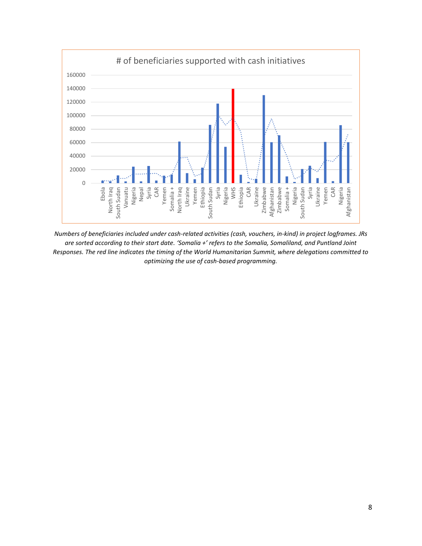

*Numbers of beneficiaries included under cash-related activities (cash, vouchers, in-kind) in project logframes. JRs are sorted according to their start date. 'Somalia +' refers to the Somalia, Somaliland, and Puntland Joint Responses. The red line indicates the timing of the World Humanitarian Summit, where delegations committed to optimizing the use of cash-based programming.*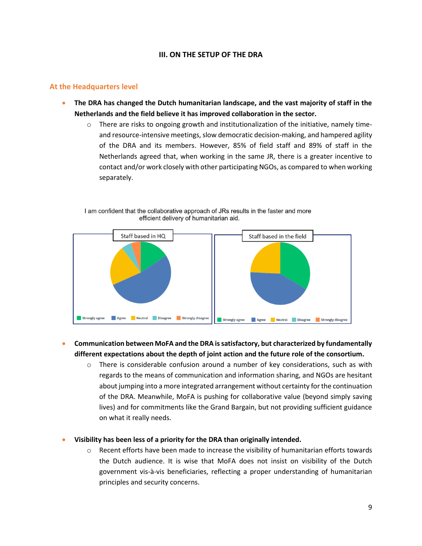# **III. ON THE SETUP OF THE DRA**

## **At the Headquarters level**

- **The DRA has changed the Dutch humanitarian landscape, and the vast majority of staff in the Netherlands and the field believe it has improved collaboration in the sector.**
	- o There are risks to ongoing growth and institutionalization of the initiative, namely timeand resource-intensive meetings, slow democratic decision-making, and hampered agility of the DRA and its members. However, 85% of field staff and 89% of staff in the Netherlands agreed that, when working in the same JR, there is a greater incentive to contact and/or work closely with other participating NGOs, as compared to when working separately.



I am confident that the collaborative approach of JRs results in the faster and more efficient delivery of humanitarian aid.

# **Communication between MoFA and the DRA is satisfactory, but characterized by fundamentally different expectations about the depth of joint action and the future role of the consortium.**

- $\circ$  There is considerable confusion around a number of key considerations, such as with regards to the means of communication and information sharing, and NGOs are hesitant about jumping into a more integrated arrangement without certainty for the continuation of the DRA. Meanwhile, MoFA is pushing for collaborative value (beyond simply saving lives) and for commitments like the Grand Bargain, but not providing sufficient guidance on what it really needs.
- **Visibility has been less of a priority for the DRA than originally intended.** 
	- $\circ$  Recent efforts have been made to increase the visibility of humanitarian efforts towards the Dutch audience. It is wise that MoFA does not insist on visibility of the Dutch government vis-à-vis beneficiaries, reflecting a proper understanding of humanitarian principles and security concerns.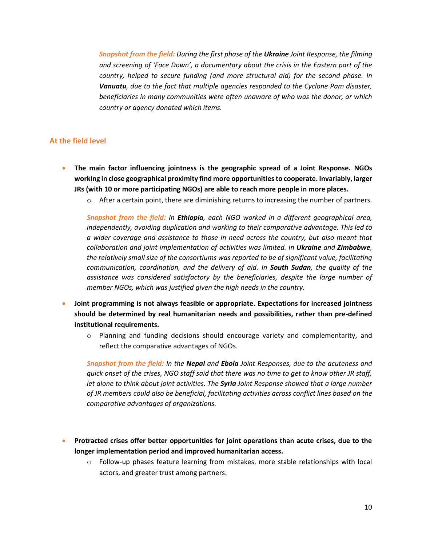*Snapshot from the field: During the first phase of the Ukraine Joint Response, the filming and screening of 'Face Down', a documentary about the crisis in the Eastern part of the country, helped to secure funding (and more structural aid) for the second phase. In Vanuatu, due to the fact that multiple agencies responded to the Cyclone Pam disaster, beneficiaries in many communities were often unaware of who was the donor, or which country or agency donated which items.* 

### **At the field level**

- **The main factor influencing jointness is the geographic spread of a Joint Response. NGOs working in close geographical proximity find more opportunities to cooperate. Invariably, larger JRs (with 10 or more participating NGOs) are able to reach more people in more places.**
	- o After a certain point, there are diminishing returns to increasing the number of partners.

*Snapshot from the field: In Ethiopia, each NGO worked in a different geographical area, independently, avoiding duplication and working to their comparative advantage. This led to a wider coverage and assistance to those in need across the country, but also meant that collaboration and joint implementation of activities was limited. In Ukraine and Zimbabwe, the relatively small size of the consortiums was reported to be of significant value, facilitating communication, coordination, and the delivery of aid. In South Sudan, the quality of the assistance was considered satisfactory by the beneficiaries, despite the large number of member NGOs, which was justified given the high needs in the country.*

- **Joint programming is not always feasible or appropriate. Expectations for increased jointness should be determined by real humanitarian needs and possibilities, rather than pre-defined institutional requirements.**
	- $\circ$  Planning and funding decisions should encourage variety and complementarity, and reflect the comparative advantages of NGOs.

*Snapshot from the field: In the Nepal and Ebola Joint Responses, due to the acuteness and quick onset of the crises, NGO staff said that there was no time to get to know other JR staff, let alone to think about joint activities. The Syria Joint Response showed that a large number of JR members could also be beneficial, facilitating activities across conflict lines based on the comparative advantages of organizations.*

- **Protracted crises offer better opportunities for joint operations than acute crises, due to the longer implementation period and improved humanitarian access.**
	- o Follow-up phases feature learning from mistakes, more stable relationships with local actors, and greater trust among partners.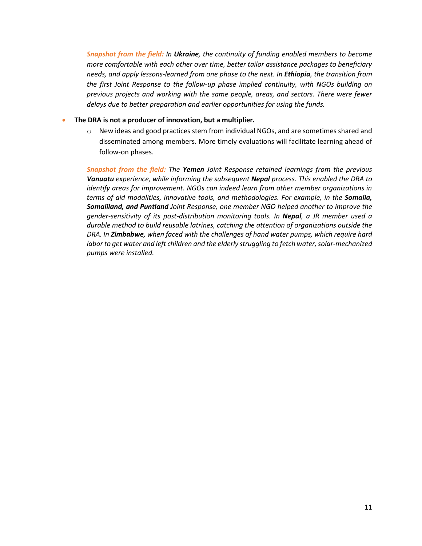*Snapshot from the field: In Ukraine, the continuity of funding enabled members to become more comfortable with each other over time, better tailor assistance packages to beneficiary needs, and apply lessons-learned from one phase to the next. In Ethiopia, the transition from the first Joint Response to the follow-up phase implied continuity, with NGOs building on previous projects and working with the same people, areas, and sectors. There were fewer delays due to better preparation and earlier opportunities for using the funds.*

#### **The DRA is not a producer of innovation, but a multiplier.**

o New ideas and good practices stem from individual NGOs, and are sometimes shared and disseminated among members. More timely evaluations will facilitate learning ahead of follow-on phases.

*Snapshot from the field: The Yemen Joint Response retained learnings from the previous Vanuatu experience, while informing the subsequent Nepal process. This enabled the DRA to identify areas for improvement. NGOs can indeed learn from other member organizations in terms of aid modalities, innovative tools, and methodologies. For example, in the Somalia, Somaliland, and Puntland Joint Response, one member NGO helped another to improve the gender-sensitivity of its post-distribution monitoring tools. In Nepal, a JR member used a durable method to build reusable latrines, catching the attention of organizations outside the DRA. In Zimbabwe, when faced with the challenges of hand water pumps, which require hard labor to get water and left children and the elderly struggling to fetch water, solar-mechanized pumps were installed.*